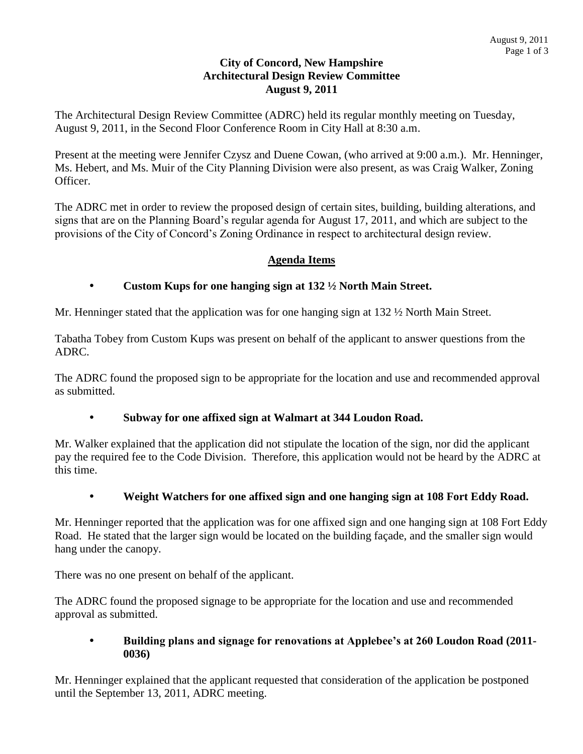# **City of Concord, New Hampshire Architectural Design Review Committee August 9, 2011**

The Architectural Design Review Committee (ADRC) held its regular monthly meeting on Tuesday, August 9, 2011, in the Second Floor Conference Room in City Hall at 8:30 a.m.

Present at the meeting were Jennifer Czysz and Duene Cowan, (who arrived at 9:00 a.m.). Mr. Henninger, Ms. Hebert, and Ms. Muir of the City Planning Division were also present, as was Craig Walker, Zoning Officer.

The ADRC met in order to review the proposed design of certain sites, building, building alterations, and signs that are on the Planning Board's regular agenda for August 17, 2011, and which are subject to the provisions of the City of Concord's Zoning Ordinance in respect to architectural design review.

# **Agenda Items**

#### **Custom Kups for one hanging sign at 132 ½ North Main Street.**

Mr. Henninger stated that the application was for one hanging sign at 132  $\frac{1}{2}$  North Main Street.

Tabatha Tobey from Custom Kups was present on behalf of the applicant to answer questions from the ADRC.

The ADRC found the proposed sign to be appropriate for the location and use and recommended approval as submitted.

# **Subway for one affixed sign at Walmart at 344 Loudon Road.**

Mr. Walker explained that the application did not stipulate the location of the sign, nor did the applicant pay the required fee to the Code Division. Therefore, this application would not be heard by the ADRC at this time.

# **Weight Watchers for one affixed sign and one hanging sign at 108 Fort Eddy Road.**

Mr. Henninger reported that the application was for one affixed sign and one hanging sign at 108 Fort Eddy Road. He stated that the larger sign would be located on the building façade, and the smaller sign would hang under the canopy.

There was no one present on behalf of the applicant.

The ADRC found the proposed signage to be appropriate for the location and use and recommended approval as submitted.

#### **Building plans and signage for renovations at Applebee's at 260 Loudon Road (2011- 0036)**

Mr. Henninger explained that the applicant requested that consideration of the application be postponed until the September 13, 2011, ADRC meeting.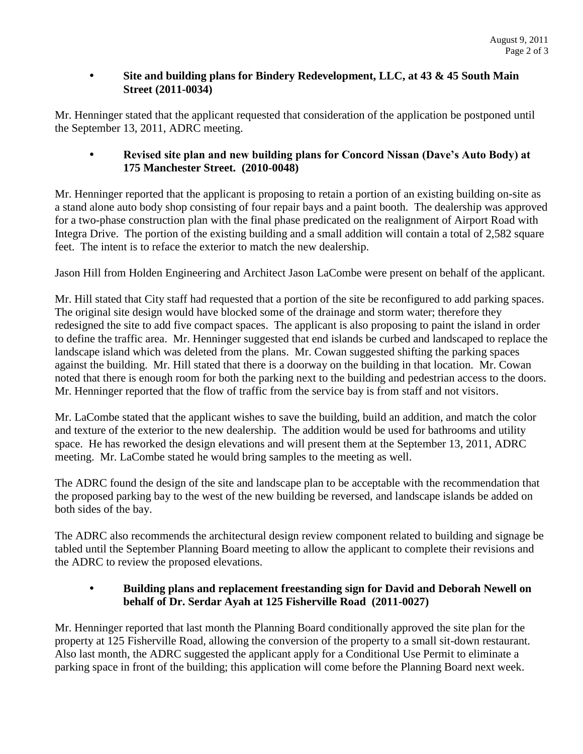# **Site and building plans for Bindery Redevelopment, LLC, at 43 & 45 South Main Street (2011-0034)**

Mr. Henninger stated that the applicant requested that consideration of the application be postponed until the September 13, 2011, ADRC meeting.

# **Revised site plan and new building plans for Concord Nissan (Dave's Auto Body) at 175 Manchester Street. (2010-0048)**

Mr. Henninger reported that the applicant is proposing to retain a portion of an existing building on-site as a stand alone auto body shop consisting of four repair bays and a paint booth. The dealership was approved for a two-phase construction plan with the final phase predicated on the realignment of Airport Road with Integra Drive. The portion of the existing building and a small addition will contain a total of 2,582 square feet. The intent is to reface the exterior to match the new dealership.

Jason Hill from Holden Engineering and Architect Jason LaCombe were present on behalf of the applicant.

Mr. Hill stated that City staff had requested that a portion of the site be reconfigured to add parking spaces. The original site design would have blocked some of the drainage and storm water; therefore they redesigned the site to add five compact spaces. The applicant is also proposing to paint the island in order to define the traffic area. Mr. Henninger suggested that end islands be curbed and landscaped to replace the landscape island which was deleted from the plans. Mr. Cowan suggested shifting the parking spaces against the building. Mr. Hill stated that there is a doorway on the building in that location. Mr. Cowan noted that there is enough room for both the parking next to the building and pedestrian access to the doors. Mr. Henninger reported that the flow of traffic from the service bay is from staff and not visitors.

Mr. LaCombe stated that the applicant wishes to save the building, build an addition, and match the color and texture of the exterior to the new dealership. The addition would be used for bathrooms and utility space. He has reworked the design elevations and will present them at the September 13, 2011, ADRC meeting. Mr. LaCombe stated he would bring samples to the meeting as well.

The ADRC found the design of the site and landscape plan to be acceptable with the recommendation that the proposed parking bay to the west of the new building be reversed, and landscape islands be added on both sides of the bay.

The ADRC also recommends the architectural design review component related to building and signage be tabled until the September Planning Board meeting to allow the applicant to complete their revisions and the ADRC to review the proposed elevations.

# **Building plans and replacement freestanding sign for David and Deborah Newell on behalf of Dr. Serdar Ayah at 125 Fisherville Road (2011-0027)**

Mr. Henninger reported that last month the Planning Board conditionally approved the site plan for the property at 125 Fisherville Road, allowing the conversion of the property to a small sit-down restaurant. Also last month, the ADRC suggested the applicant apply for a Conditional Use Permit to eliminate a parking space in front of the building; this application will come before the Planning Board next week.